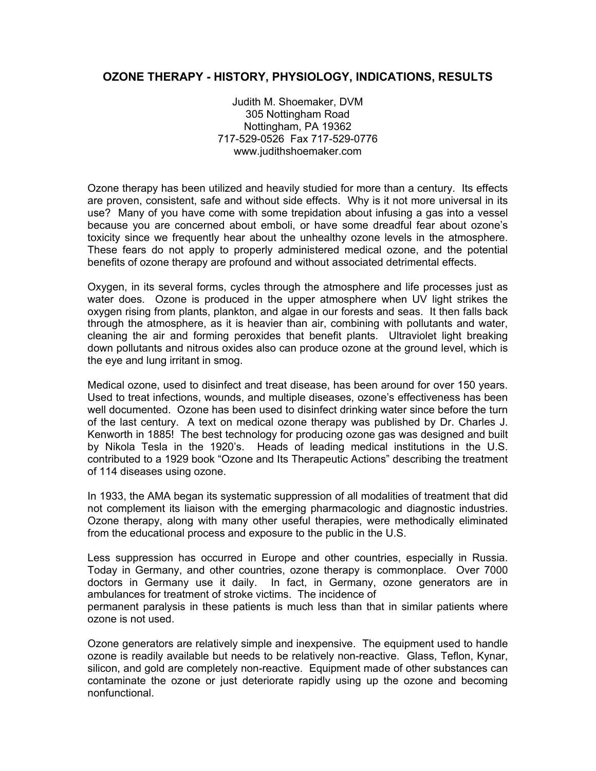## **OZONE THERAPY - HISTORY, PHYSIOLOGY, INDICATIONS, RESULTS**

Judith M. Shoemaker, DVM 305 Nottingham Road Nottingham, PA 19362 717-529-0526 Fax 717-529-0776 www.judithshoemaker.com

Ozone therapy has been utilized and heavily studied for more than a century. Its effects are proven, consistent, safe and without side effects. Why is it not more universal in its use? Many of you have come with some trepidation about infusing a gas into a vessel because you are concerned about emboli, or have some dreadful fear about ozone's toxicity since we frequently hear about the unhealthy ozone levels in the atmosphere. These fears do not apply to properly administered medical ozone, and the potential benefits of ozone therapy are profound and without associated detrimental effects.

Oxygen, in its several forms, cycles through the atmosphere and life processes just as water does. Ozone is produced in the upper atmosphere when UV light strikes the oxygen rising from plants, plankton, and algae in our forests and seas. It then falls back through the atmosphere, as it is heavier than air, combining with pollutants and water, cleaning the air and forming peroxides that benefit plants. Ultraviolet light breaking down pollutants and nitrous oxides also can produce ozone at the ground level, which is the eye and lung irritant in smog.

Medical ozone, used to disinfect and treat disease, has been around for over 150 years. Used to treat infections, wounds, and multiple diseases, ozone's effectiveness has been well documented. Ozone has been used to disinfect drinking water since before the turn of the last century. A text on medical ozone therapy was published by Dr. Charles J. Kenworth in 1885! The best technology for producing ozone gas was designed and built by Nikola Tesla in the 1920's. Heads of leading medical institutions in the U.S. contributed to a 1929 book "Ozone and Its Therapeutic Actions" describing the treatment of 114 diseases using ozone.

In 1933, the AMA began its systematic suppression of all modalities of treatment that did not complement its liaison with the emerging pharmacologic and diagnostic industries. Ozone therapy, along with many other useful therapies, were methodically eliminated from the educational process and exposure to the public in the U.S.

Less suppression has occurred in Europe and other countries, especially in Russia. Today in Germany, and other countries, ozone therapy is commonplace. Over 7000 doctors in Germany use it daily. In fact, in Germany, ozone generators are in ambulances for treatment of stroke victims. The incidence of permanent paralysis in these patients is much less than that in similar patients where ozone is not used.

Ozone generators are relatively simple and inexpensive. The equipment used to handle ozone is readily available but needs to be relatively non-reactive. Glass, Teflon, Kynar, silicon, and gold are completely non-reactive. Equipment made of other substances can contaminate the ozone or just deteriorate rapidly using up the ozone and becoming nonfunctional.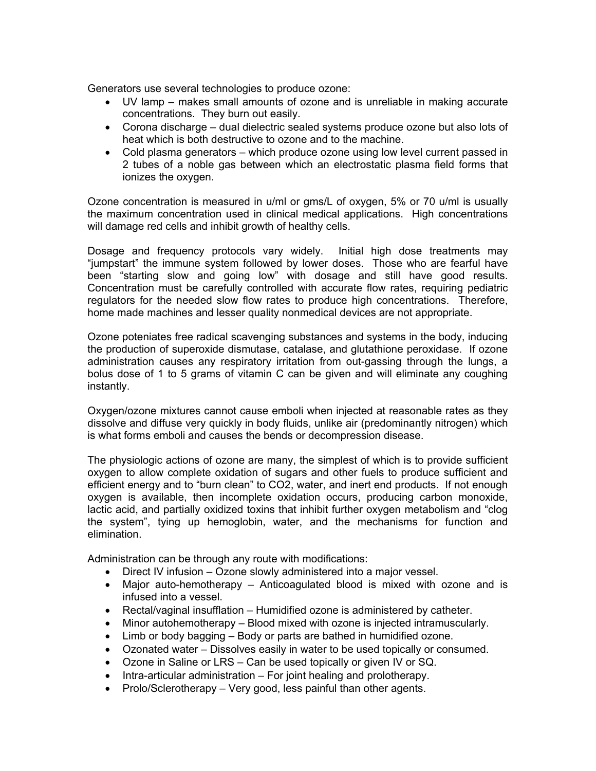Generators use several technologies to produce ozone:

- UV lamp makes small amounts of ozone and is unreliable in making accurate concentrations. They burn out easily.
- Corona discharge dual dielectric sealed systems produce ozone but also lots of heat which is both destructive to ozone and to the machine.
- Cold plasma generators which produce ozone using low level current passed in 2 tubes of a noble gas between which an electrostatic plasma field forms that ionizes the oxygen.

Ozone concentration is measured in u/ml or gms/L of oxygen, 5% or 70 u/ml is usually the maximum concentration used in clinical medical applications. High concentrations will damage red cells and inhibit growth of healthy cells.

Dosage and frequency protocols vary widely. Initial high dose treatments may "jumpstart" the immune system followed by lower doses. Those who are fearful have been "starting slow and going low" with dosage and still have good results. Concentration must be carefully controlled with accurate flow rates, requiring pediatric regulators for the needed slow flow rates to produce high concentrations. Therefore, home made machines and lesser quality nonmedical devices are not appropriate.

Ozone poteniates free radical scavenging substances and systems in the body, inducing the production of superoxide dismutase, catalase, and glutathione peroxidase. If ozone administration causes any respiratory irritation from out-gassing through the lungs, a bolus dose of 1 to 5 grams of vitamin C can be given and will eliminate any coughing instantly.

Oxygen/ozone mixtures cannot cause emboli when injected at reasonable rates as they dissolve and diffuse very quickly in body fluids, unlike air (predominantly nitrogen) which is what forms emboli and causes the bends or decompression disease.

The physiologic actions of ozone are many, the simplest of which is to provide sufficient oxygen to allow complete oxidation of sugars and other fuels to produce sufficient and efficient energy and to "burn clean" to CO2, water, and inert end products. If not enough oxygen is available, then incomplete oxidation occurs, producing carbon monoxide, lactic acid, and partially oxidized toxins that inhibit further oxygen metabolism and "clog the system", tying up hemoglobin, water, and the mechanisms for function and elimination.

Administration can be through any route with modifications:

- Direct IV infusion Ozone slowly administered into a major vessel.
- Major auto-hemotherapy Anticoagulated blood is mixed with ozone and is infused into a vessel.
- Rectal/vaginal insufflation Humidified ozone is administered by catheter.
- Minor autohemotherapy Blood mixed with ozone is injected intramuscularly.
- Limb or body bagging Body or parts are bathed in humidified ozone.
- Ozonated water Dissolves easily in water to be used topically or consumed.
- Ozone in Saline or LRS Can be used topically or given IV or SQ.
- Intra-articular administration For joint healing and prolotherapy.
- Prolo/Sclerotherapy Very good, less painful than other agents.